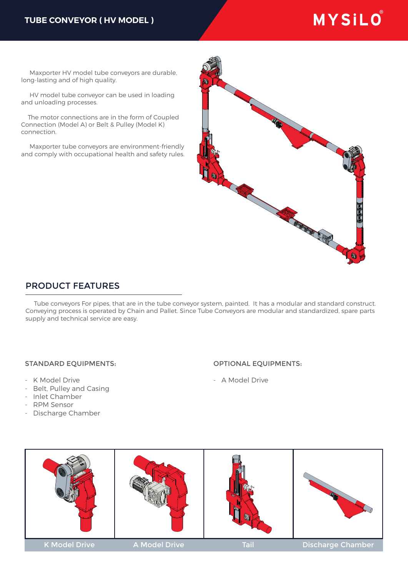### **TUBE CONVEYOR ( HV MODEL )**

# MYSILO®

 Maxporter HV model tube conveyors are durable, long-lasting and of high quality.

 HV model tube conveyor can be used in loading and unloading processes.

 The motor connections are in the form of Coupled Connection (Model A) or Belt & Pulley (Model K) connection.

 Maxporter tube conveyors are environment-friendly and comply with occupational health and safety rules.



## PRODUCT FEATURES

 Tube conveyors For pipes, that are in the tube conveyor system, painted. It has a modular and standard construct. Conveying process is operated by Chain and Pallet. Since Tube Conveyors are modular and standardized, spare parts supply and technical service are easy.

#### STANDARD EQUIPMENTS:

- K Model Drive
- Belt, Pulley and Casing
- Inlet Chamber
- RPM Sensor
- Discharge Chamber

#### OPTIONAL EQUIPMENTS:

- A Model Drive